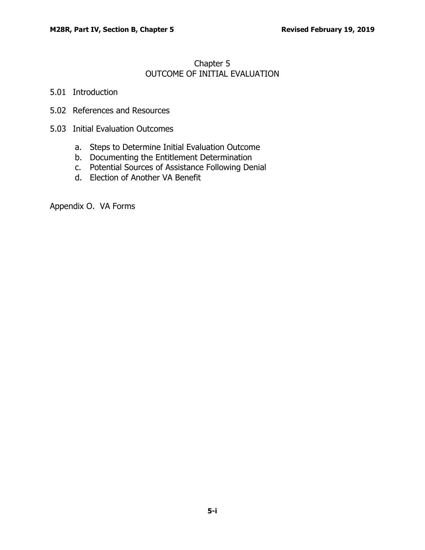## Chapter 5 OUTCOME OF INITIAL EVALUATION

- 5.01 [Introduction](#page-1-0)
- 5.02 [References and Resources](#page-1-1)
- 5.03 [Initial Evaluation Outcomes](#page-1-2)
	- a. [Steps to Determine Initial Evaluation Outcome](#page-1-3)
	- b. [Documenting the Entitlement Determination](#page-5-0)
	- c. [Potential Sources of Assistance Following Denial](#page-6-0)
	- d. [Election of Another VA Benefit](#page-6-1)

Appendix O. VA Forms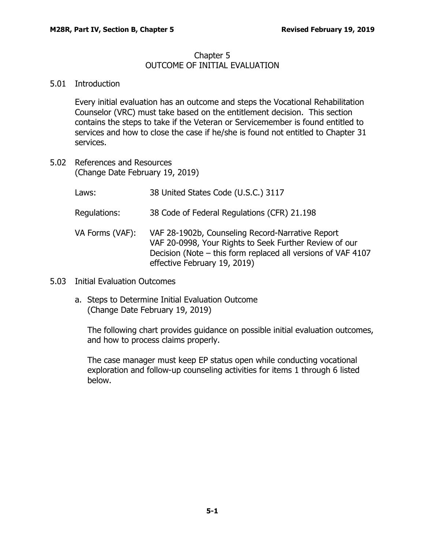## Chapter 5 OUTCOME OF INITIAL EVALUATION

## <span id="page-1-0"></span>5.01 Introduction

Every initial evaluation has an outcome and steps the Vocational Rehabilitation Counselor (VRC) must take based on the entitlement decision. This section contains the steps to take if the Veteran or Servicemember is found entitled to services and how to close the case if he/she is found not entitled to Chapter 31 services.

- <span id="page-1-1"></span>5.02 References and Resources (Change Date February 19, 2019)
	- Laws: 38 United States Code (U.S.C.) 3117
	- Regulations: 38 Code of Federal Regulations (CFR) 21.198
	- VA Forms (VAF): VAF 28-1902b, Counseling Record-Narrative Report VAF 20-0998, Your Rights to Seek Further Review of our Decision (Note – this form replaced all versions of VAF 4107 effective February 19, 2019)
- <span id="page-1-3"></span><span id="page-1-2"></span>5.03 Initial Evaluation Outcomes
	- a. Steps to Determine Initial Evaluation Outcome (Change Date February 19, 2019)

The following chart provides guidance on possible initial evaluation outcomes, and how to process claims properly.

The case manager must keep EP status open while conducting vocational exploration and follow-up counseling activities for items 1 through 6 listed below.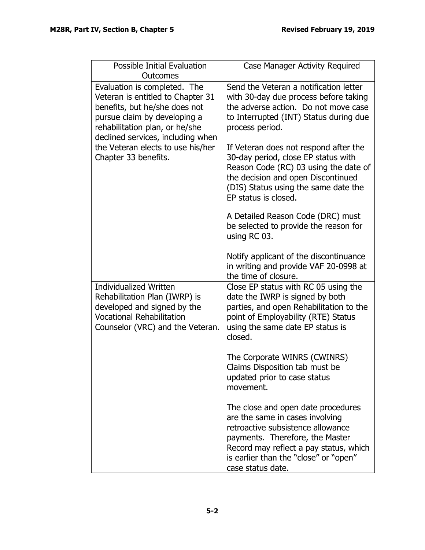| <b>Possible Initial Evaluation</b><br>Outcomes                                                                                                                                                                                                 | <b>Case Manager Activity Required</b>                                                                                                                                                                                                                 |
|------------------------------------------------------------------------------------------------------------------------------------------------------------------------------------------------------------------------------------------------|-------------------------------------------------------------------------------------------------------------------------------------------------------------------------------------------------------------------------------------------------------|
| Evaluation is completed. The<br>Veteran is entitled to Chapter 31<br>benefits, but he/she does not<br>pursue claim by developing a<br>rehabilitation plan, or he/she<br>declined services, including when<br>the Veteran elects to use his/her | Send the Veteran a notification letter<br>with 30-day due process before taking<br>the adverse action. Do not move case<br>to Interrupted (INT) Status during due<br>process period.<br>If Veteran does not respond after the                         |
| Chapter 33 benefits.                                                                                                                                                                                                                           | 30-day period, close EP status with<br>Reason Code (RC) 03 using the date of<br>the decision and open Discontinued<br>(DIS) Status using the same date the<br>EP status is closed.                                                                    |
|                                                                                                                                                                                                                                                | A Detailed Reason Code (DRC) must<br>be selected to provide the reason for<br>using RC 03.                                                                                                                                                            |
|                                                                                                                                                                                                                                                | Notify applicant of the discontinuance<br>in writing and provide VAF 20-0998 at<br>the time of closure.                                                                                                                                               |
| <b>Individualized Written</b><br>Rehabilitation Plan (IWRP) is<br>developed and signed by the<br><b>Vocational Rehabilitation</b><br>Counselor (VRC) and the Veteran.                                                                          | Close EP status with RC 05 using the<br>date the IWRP is signed by both<br>parties, and open Rehabilitation to the<br>point of Employability (RTE) Status<br>using the same date EP status is<br>closed.                                              |
|                                                                                                                                                                                                                                                | The Corporate WINRS (CWINRS)<br>Claims Disposition tab must be<br>updated prior to case status<br>movement.                                                                                                                                           |
|                                                                                                                                                                                                                                                | The close and open date procedures<br>are the same in cases involving<br>retroactive subsistence allowance<br>payments. Therefore, the Master<br>Record may reflect a pay status, which<br>is earlier than the "close" or "open"<br>case status date. |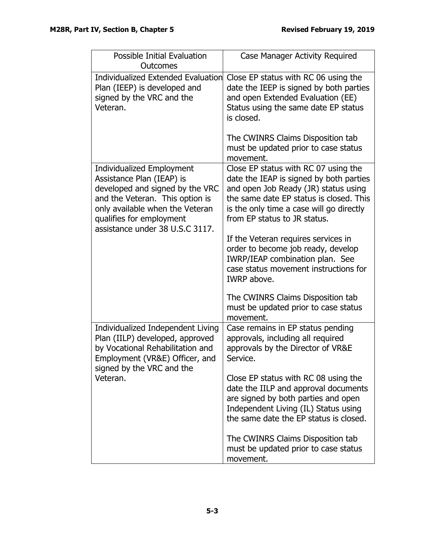| Possible Initial Evaluation<br>Outcomes                                                                                                                                                                                               | Case Manager Activity Required                                                                                                                                                                                                                          |
|---------------------------------------------------------------------------------------------------------------------------------------------------------------------------------------------------------------------------------------|---------------------------------------------------------------------------------------------------------------------------------------------------------------------------------------------------------------------------------------------------------|
| Individualized Extended Evaluation<br>Plan (IEEP) is developed and<br>signed by the VRC and the<br>Veteran.                                                                                                                           | Close EP status with RC 06 using the<br>date the IEEP is signed by both parties<br>and open Extended Evaluation (EE)<br>Status using the same date EP status<br>is closed.<br>The CWINRS Claims Disposition tab<br>must be updated prior to case status |
|                                                                                                                                                                                                                                       | movement.                                                                                                                                                                                                                                               |
| <b>Individualized Employment</b><br>Assistance Plan (IEAP) is<br>developed and signed by the VRC<br>and the Veteran. This option is<br>only available when the Veteran<br>qualifies for employment<br>assistance under 38 U.S.C 3117. | Close EP status with RC 07 using the<br>date the IEAP is signed by both parties<br>and open Job Ready (JR) status using<br>the same date EP status is closed. This<br>is the only time a case will go directly<br>from EP status to JR status.          |
|                                                                                                                                                                                                                                       | If the Veteran requires services in<br>order to become job ready, develop<br>IWRP/IEAP combination plan. See<br>case status movement instructions for<br>IWRP above.                                                                                    |
|                                                                                                                                                                                                                                       | The CWINRS Claims Disposition tab<br>must be updated prior to case status<br>movement.                                                                                                                                                                  |
| Individualized Independent Living<br>Plan (IILP) developed, approved<br>by Vocational Rehabilitation and<br>Employment (VR&E) Officer, and<br>signed by the VRC and the<br>Veteran.                                                   | Case remains in EP status pending<br>approvals, including all required<br>approvals by the Director of VR&E<br>Service.                                                                                                                                 |
|                                                                                                                                                                                                                                       | Close EP status with RC 08 using the<br>date the IILP and approval documents<br>are signed by both parties and open<br>Independent Living (IL) Status using<br>the same date the EP status is closed.                                                   |
|                                                                                                                                                                                                                                       | The CWINRS Claims Disposition tab<br>must be updated prior to case status<br>movement.                                                                                                                                                                  |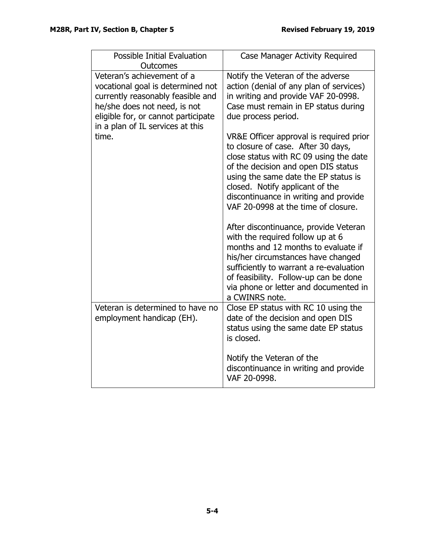| <b>Possible Initial Evaluation</b><br><b>Outcomes</b>                                                                                                                                                           | Case Manager Activity Required                                                                                                                                                                                                                                                                                            |
|-----------------------------------------------------------------------------------------------------------------------------------------------------------------------------------------------------------------|---------------------------------------------------------------------------------------------------------------------------------------------------------------------------------------------------------------------------------------------------------------------------------------------------------------------------|
| Veteran's achievement of a<br>vocational goal is determined not<br>currently reasonably feasible and<br>he/she does not need, is not<br>eligible for, or cannot participate<br>in a plan of IL services at this | Notify the Veteran of the adverse<br>action (denial of any plan of services)<br>in writing and provide VAF 20-0998.<br>Case must remain in EP status during<br>due process period.                                                                                                                                        |
| time.                                                                                                                                                                                                           | VR&E Officer approval is required prior<br>to closure of case. After 30 days,<br>close status with RC 09 using the date<br>of the decision and open DIS status<br>using the same date the EP status is<br>closed. Notify applicant of the<br>discontinuance in writing and provide<br>VAF 20-0998 at the time of closure. |
|                                                                                                                                                                                                                 | After discontinuance, provide Veteran<br>with the required follow up at 6<br>months and 12 months to evaluate if<br>his/her circumstances have changed<br>sufficiently to warrant a re-evaluation<br>of feasibility. Follow-up can be done<br>via phone or letter and documented in<br>a CWINRS note.                     |
| Veteran is determined to have no<br>employment handicap (EH).                                                                                                                                                   | Close EP status with RC 10 using the<br>date of the decision and open DIS<br>status using the same date EP status<br>is closed.                                                                                                                                                                                           |
|                                                                                                                                                                                                                 | Notify the Veteran of the<br>discontinuance in writing and provide<br>VAF 20-0998.                                                                                                                                                                                                                                        |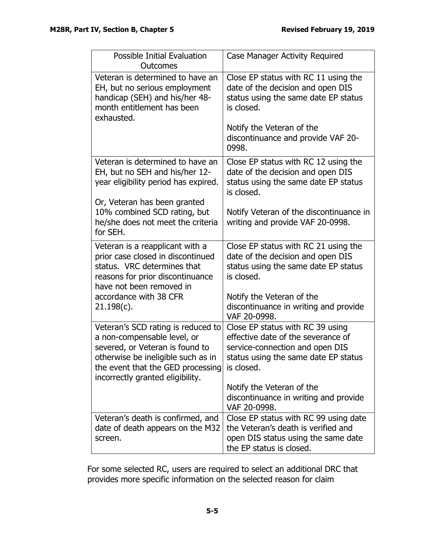| Possible Initial Evaluation<br>Outcomes                                                                                                                                                                                        | Case Manager Activity Required                                                                                                                    |
|--------------------------------------------------------------------------------------------------------------------------------------------------------------------------------------------------------------------------------|---------------------------------------------------------------------------------------------------------------------------------------------------|
| Veteran is determined to have an<br>EH, but no serious employment<br>handicap (SEH) and his/her 48-<br>month entitlement has been<br>exhausted.                                                                                | Close EP status with RC 11 using the<br>date of the decision and open DIS<br>status using the same date EP status<br>is closed.                   |
|                                                                                                                                                                                                                                | Notify the Veteran of the<br>discontinuance and provide VAF 20-<br>0998.                                                                          |
| Veteran is determined to have an<br>EH, but no SEH and his/her 12-<br>year eligibility period has expired.                                                                                                                     | Close EP status with RC 12 using the<br>date of the decision and open DIS<br>status using the same date EP status<br>is closed.                   |
| Or, Veteran has been granted<br>10% combined SCD rating, but<br>he/she does not meet the criteria<br>for SEH.                                                                                                                  | Notify Veteran of the discontinuance in<br>writing and provide VAF 20-0998.                                                                       |
| Veteran is a reapplicant with a<br>prior case closed in discontinued<br>status. VRC determines that<br>reasons for prior discontinuance<br>have not been removed in                                                            | Close EP status with RC 21 using the<br>date of the decision and open DIS<br>status using the same date EP status<br>is closed.                   |
| accordance with 38 CFR<br>$21.198(c)$ .                                                                                                                                                                                        | Notify the Veteran of the<br>discontinuance in writing and provide<br>VAF 20-0998.                                                                |
| Veteran's SCD rating is reduced to<br>a non-compensable level, or<br>severed, or Veteran is found to<br>otherwise be ineligible such as in<br>the event that the GED processing is closed.<br>incorrectly granted eligibility. | Close EP status with RC 39 using<br>effective date of the severance of<br>service-connection and open DIS<br>status using the same date EP status |
|                                                                                                                                                                                                                                | Notify the Veteran of the<br>discontinuance in writing and provide<br>VAF 20-0998.                                                                |
| Veteran's death is confirmed, and<br>date of death appears on the M32<br>screen.                                                                                                                                               | Close EP status with RC 99 using date<br>the Veteran's death is verified and<br>open DIS status using the same date<br>the EP status is closed.   |

<span id="page-5-0"></span>For some selected RC, users are required to select an additional DRC that provides more specific information on the selected reason for claim